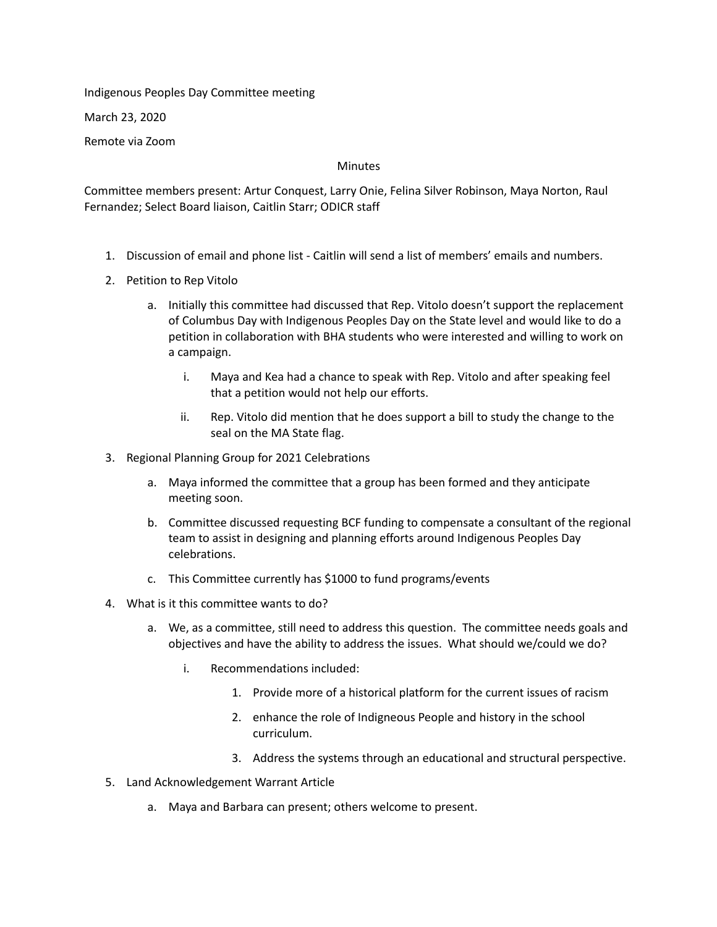Indigenous Peoples Day Committee meeting

March 23, 2020

Remote via Zoom

## Minutes

Committee members present: Artur Conquest, Larry Onie, Felina Silver Robinson, Maya Norton, Raul Fernandez; Select Board liaison, Caitlin Starr; ODICR staff

- 1. Discussion of email and phone list Caitlin will send a list of members' emails and numbers.
- 2. Petition to Rep Vitolo
	- a. Initially this committee had discussed that Rep. Vitolo doesn't support the replacement of Columbus Day with Indigenous Peoples Day on the State level and would like to do a petition in collaboration with BHA students who were interested and willing to work on a campaign.
		- i. Maya and Kea had a chance to speak with Rep. Vitolo and after speaking feel that a petition would not help our efforts.
		- ii. Rep. Vitolo did mention that he does support a bill to study the change to the seal on the MA State flag.
- 3. Regional Planning Group for 2021 Celebrations
	- a. Maya informed the committee that a group has been formed and they anticipate meeting soon.
	- b. Committee discussed requesting BCF funding to compensate a consultant of the regional team to assist in designing and planning efforts around Indigenous Peoples Day celebrations.
	- c. This Committee currently has \$1000 to fund programs/events
- 4. What is it this committee wants to do?
	- a. We, as a committee, still need to address this question. The committee needs goals and objectives and have the ability to address the issues. What should we/could we do?
		- i. Recommendations included:
			- 1. Provide more of a historical platform for the current issues of racism
			- 2. enhance the role of Indigneous People and history in the school curriculum.
			- 3. Address the systems through an educational and structural perspective.
- 5. Land Acknowledgement Warrant Article
	- a. Maya and Barbara can present; others welcome to present.